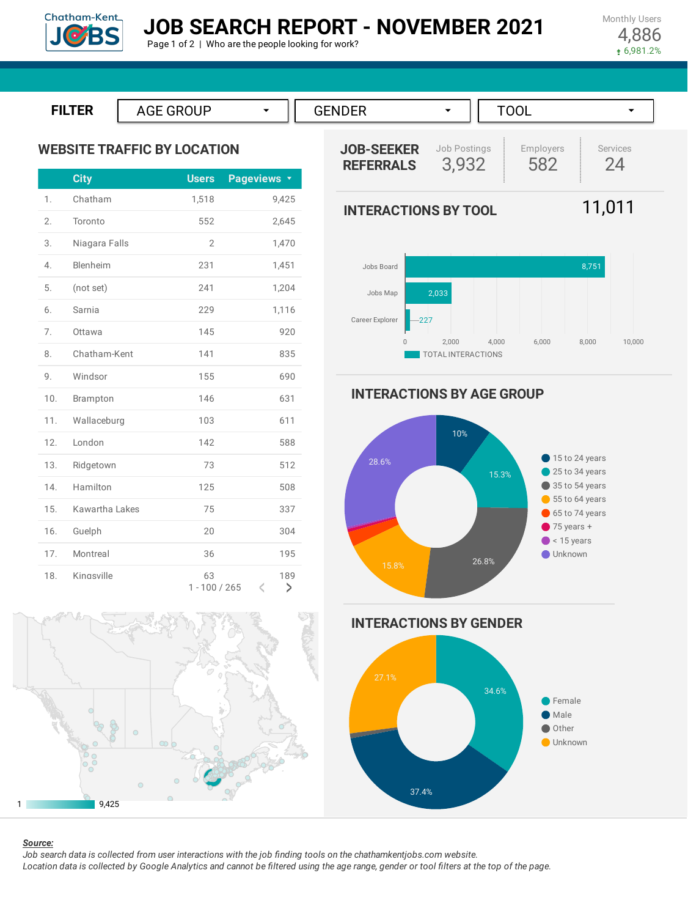

## **JOB SEARCH REPORT - NOVEMBER 2021**

Page 1 of 2 | Who are the people looking for work?

Monthly Users 4,886 6,981.2%









#### *Source:*

Job search data is collected from user interactions with the job finding tools on the chathamkentjobs.com website. Location data is collected by Google Analytics and cannot be filtered using the age range, gender or tool filters at the top of the page.